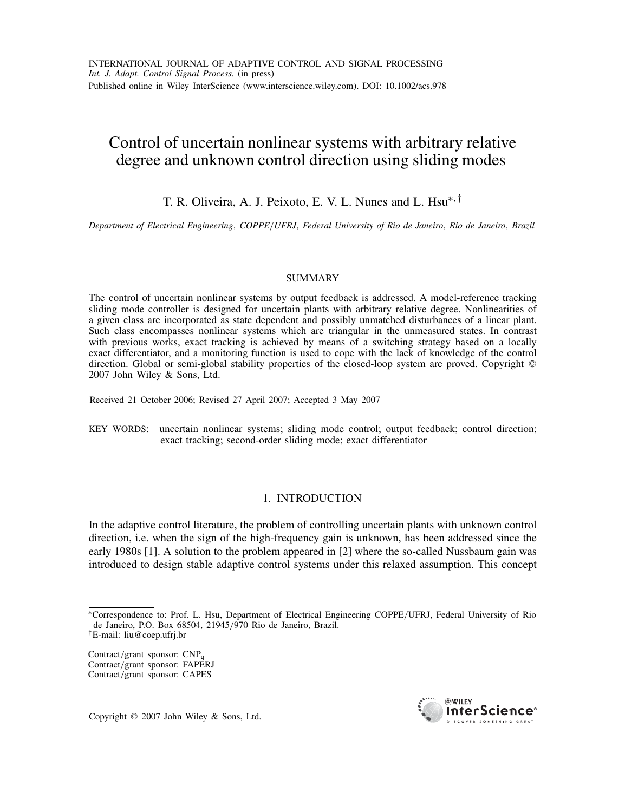# Control of uncertain nonlinear systems with arbitrary relative degree and unknown control direction using sliding modes

# T. R. Oliveira, A. J. Peixoto, E. V. L. Nunes and L. Hsu∗,*†*

*Department of Electrical Engineering*, *COPPE*/*UFRJ*, *Federal University of Rio de Janeiro*, *Rio de Janeiro*, *Brazil*

### SUMMARY

The control of uncertain nonlinear systems by output feedback is addressed. A model-reference tracking sliding mode controller is designed for uncertain plants with arbitrary relative degree. Nonlinearities of a given class are incorporated as state dependent and possibly unmatched disturbances of a linear plant. Such class encompasses nonlinear systems which are triangular in the unmeasured states. In contrast with previous works, exact tracking is achieved by means of a switching strategy based on a locally exact differentiator, and a monitoring function is used to cope with the lack of knowledge of the control direction. Global or semi-global stability properties of the closed-loop system are proved. Copyright  $©$ 2007 John Wiley & Sons, Ltd.

Received 21 October 2006; Revised 27 April 2007; Accepted 3 May 2007

KEY WORDS: uncertain nonlinear systems; sliding mode control; output feedback; control direction; exact tracking; second-order sliding mode; exact differentiator

# 1. INTRODUCTION

In the adaptive control literature, the problem of controlling uncertain plants with unknown control direction, i.e. when the sign of the high-frequency gain is unknown, has been addressed since the early 1980s [1]. A solution to the problem appeared in [2] where the so-called Nussbaum gain was introduced to design stable adaptive control systems under this relaxed assumption. This concept

**WILEY InterScience**®

Copyright  $© 2007$  John Wiley & Sons, Ltd.

<sup>∗</sup>Correspondence to: Prof. L. Hsu, Department of Electrical Engineering COPPE/UFRJ, Federal University of Rio de Janeiro, P.O. Box 68504, 21945/970 Rio de Janeiro, Brazil.

*<sup>†</sup>*E-mail: liu@coep.ufrj.br

Contract/grant sponsor:  $CNP<sub>q</sub>$ Contract/grant sponsor: FAPERJ Contract/grant sponsor: CAPES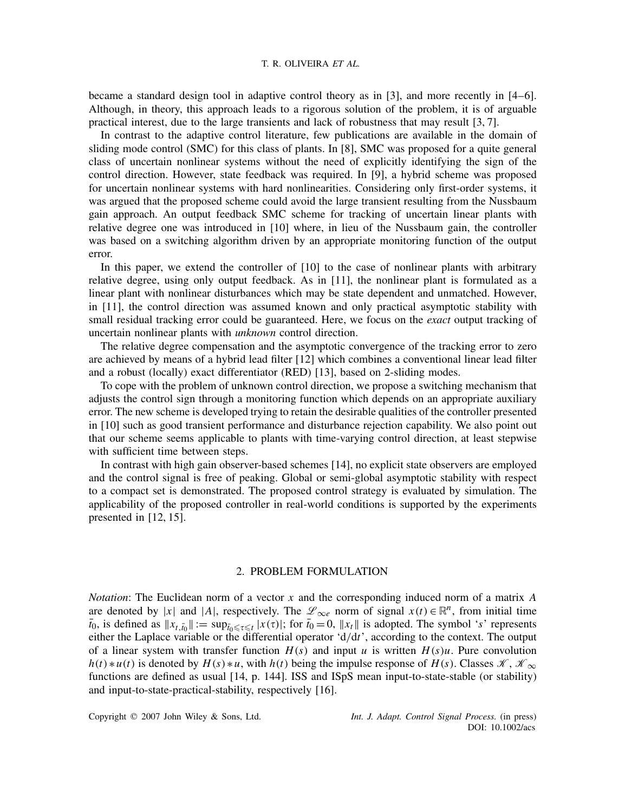became a standard design tool in adaptive control theory as in [3], and more recently in [4–6]. Although, in theory, this approach leads to a rigorous solution of the problem, it is of arguable practical interest, due to the large transients and lack of robustness that may result [3, 7].

In contrast to the adaptive control literature, few publications are available in the domain of sliding mode control (SMC) for this class of plants. In [8], SMC was proposed for a quite general class of uncertain nonlinear systems without the need of explicitly identifying the sign of the control direction. However, state feedback was required. In [9], a hybrid scheme was proposed for uncertain nonlinear systems with hard nonlinearities. Considering only first-order systems, it was argued that the proposed scheme could avoid the large transient resulting from the Nussbaum gain approach. An output feedback SMC scheme for tracking of uncertain linear plants with relative degree one was introduced in [10] where, in lieu of the Nussbaum gain, the controller was based on a switching algorithm driven by an appropriate monitoring function of the output error.

In this paper, we extend the controller of [10] to the case of nonlinear plants with arbitrary relative degree, using only output feedback. As in [11], the nonlinear plant is formulated as a linear plant with nonlinear disturbances which may be state dependent and unmatched. However, in [11], the control direction was assumed known and only practical asymptotic stability with small residual tracking error could be guaranteed. Here, we focus on the *exact* output tracking of uncertain nonlinear plants with *unknown* control direction.

The relative degree compensation and the asymptotic convergence of the tracking error to zero are achieved by means of a hybrid lead filter [12] which combines a conventional linear lead filter and a robust (locally) exact differentiator (RED) [13], based on 2-sliding modes.

To cope with the problem of unknown control direction, we propose a switching mechanism that adjusts the control sign through a monitoring function which depends on an appropriate auxiliary error. The new scheme is developed trying to retain the desirable qualities of the controller presented in [10] such as good transient performance and disturbance rejection capability. We also point out that our scheme seems applicable to plants with time-varying control direction, at least stepwise with sufficient time between steps.

In contrast with high gain observer-based schemes [14], no explicit state observers are employed and the control signal is free of peaking. Global or semi-global asymptotic stability with respect to a compact set is demonstrated. The proposed control strategy is evaluated by simulation. The applicability of the proposed controller in real-world conditions is supported by the experiments presented in [12, 15].

### 2. PROBLEM FORMULATION

*Notation*: The Euclidean norm of a vector *x* and the corresponding induced norm of a matrix *A* are denoted by |*x*| and |*A*|, respectively. The  $\mathcal{L}_{\infty e}$  norm of signal  $x(t) \in \mathbb{R}^n$ , from initial time  $\bar{t}_0$ , is defined as  $||x_{t,\bar{t}_0}|| := \sup_{\bar{t}_0 \leq \tau \leq t} |x(\tau)|$ ; for  $\bar{t}_0 = 0$ ,  $||x_t||$  is adopted. The symbol '*s*' represents either the Laplace variable or the differential operator 'd/d*t*', according to the context. The output of a linear system with transfer function  $H(s)$  and input *u* is written  $H(s)u$ . Pure convolution  $h(t) * u(t)$  is denoted by  $H(s) * u$ , with  $h(t)$  being the impulse response of  $H(s)$ . Classes  $\mathcal{K}, \mathcal{K}_{\infty}$ functions are defined as usual [14, p. 144]. ISS and ISpS mean input-to-state-stable (or stability) and input-to-state-practical-stability, respectively [16].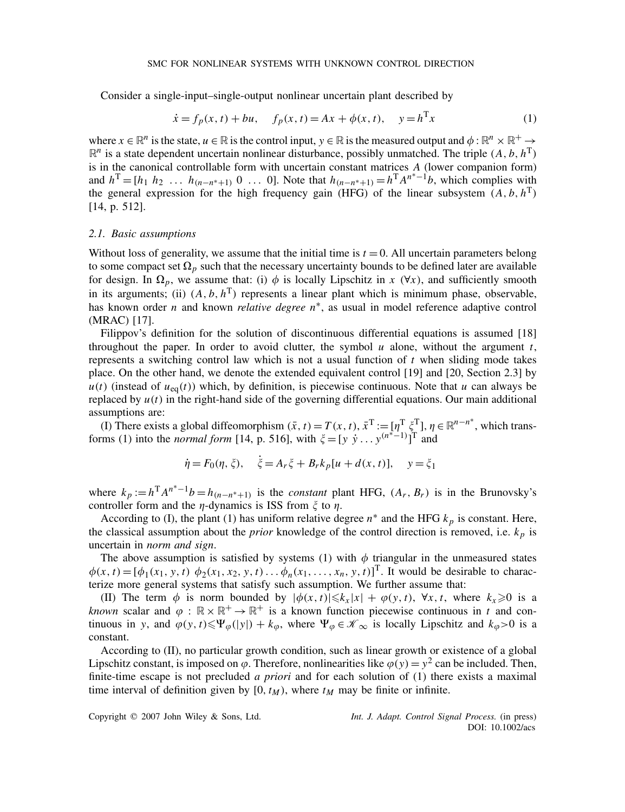Consider a single-input–single-output nonlinear uncertain plant described by

$$
\dot{x} = f_p(x, t) + bu, \quad f_p(x, t) = Ax + \phi(x, t), \quad y = h^{\mathrm{T}} x \tag{1}
$$

where  $x \in \mathbb{R}^n$  is the state,  $u \in \mathbb{R}$  is the control input,  $y \in \mathbb{R}$  is the measured output and  $\phi : \mathbb{R}^n \times \mathbb{R}^+ \to$  $\mathbb{R}^n$  is a state dependent uncertain nonlinear disturbance, possibly unmatched. The triple  $(A, b, h^T)$ is in the canonical controllable form with uncertain constant matrices *A* (lower companion form) and  $h^T = [h_1 \ h_2 \ \ldots \ h_{(n-n^*+1)} \ 0 \ \ldots \ 0]$ . Note that  $h_{(n-n^*+1)} = h^T A^{n^*-1} b$ , which complies with the general expression for the high frequency gain (HFG) of the linear subsystem  $(A, b, h^T)$ [14, p. 512].

# *2.1. Basic assumptions*

Without loss of generality, we assume that the initial time is  $t = 0$ . All uncertain parameters belong to some compact set  $\Omega_p$  such that the necessary uncertainty bounds to be defined later are available for design. In  $\Omega_p$ , we assume that: (i)  $\phi$  is locally Lipschitz in *x* ( $\forall x$ ), and sufficiently smooth in its arguments; (ii)  $(A, b, h^T)$  represents a linear plant which is minimum phase, observable, has known order *n* and known *relative degree n*∗, as usual in model reference adaptive control (MRAC) [17].

Filippov's definition for the solution of discontinuous differential equations is assumed [18] throughout the paper. In order to avoid clutter, the symbol *u* alone, without the argument *t*, represents a switching control law which is not a usual function of *t* when sliding mode takes place. On the other hand, we denote the extended equivalent control [19] and [20, Section 2.3] by  $u(t)$  (instead of  $u_{eq}(t)$ ) which, by definition, is piecewise continuous. Note that *u* can always be replaced by  $u(t)$  in the right-hand side of the governing differential equations. Our main additional assumptions are:

(I) There exists a global diffeomorphism  $(\bar{x}, t) = T(x, t)$ ,  $\bar{x}^T := [\eta^T \xi^T]$ ,  $\eta \in \mathbb{R}^{n-n^*}$ , which transforms (1) into the *normal form* [14, p. 516], with  $\xi = [y \ y \ ... \ y^{(n^*-1)}]^T$  and

$$
\dot{\eta} = F_0(\eta, \xi), \quad \dot{\xi} = A_r \xi + B_r k_p [u + d(x, t)], \quad y = \xi_1
$$

where  $k_p := h^T A^{n^* - 1} b = h_{(n - n^* + 1)}$  is the *constant* plant HFG,  $(A_r, B_r)$  is in the Brunovsky's controller form and the  $\eta$ -dynamics is ISS from  $\xi$  to  $\eta$ .

According to (I), the plant (1) has uniform relative degree  $n^*$  and the HFG  $k_p$  is constant. Here, the classical assumption about the *prior* knowledge of the control direction is removed, i.e.  $k_p$  is uncertain in *norm and sign*.

The above assumption is satisfied by systems (1) with  $\phi$  triangular in the unmeasured states  $\phi(x, t) = [\phi_1(x_1, y, t) \ \phi_2(x_1, x_2, y, t) \dots \phi_n(x_1, \dots, x_n, y, t)]^T$ . It would be desirable to characterize more general systems that satisfy such assumption. We further assume that:

(II) The term  $\phi$  is norm bounded by  $|\phi(x, t)| \le k_x |x| + \phi(y, t)$ ,  $\forall x, t$ , where  $k_x \ge 0$  is a *known* scalar and  $\varphi : \mathbb{R} \times \mathbb{R}^+ \to \mathbb{R}^+$  is a known function piecewise continuous in *t* and continuous in *y*, and  $\varphi(y, t) \leq \Psi_{\varphi}(|y|) + k_{\varphi}$ , where  $\Psi_{\varphi} \in \mathcal{K}_{\infty}$  is locally Lipschitz and  $k_{\varphi} > 0$  is a constant.

According to (II), no particular growth condition, such as linear growth or existence of a global Lipschitz constant, is imposed on  $\varphi$ . Therefore, nonlinearities like  $\varphi(y) = y^2$  can be included. Then, finite-time escape is not precluded *a priori* and for each solution of (1) there exists a maximal time interval of definition given by  $[0, t_M)$ , where  $t_M$  may be finite or infinite.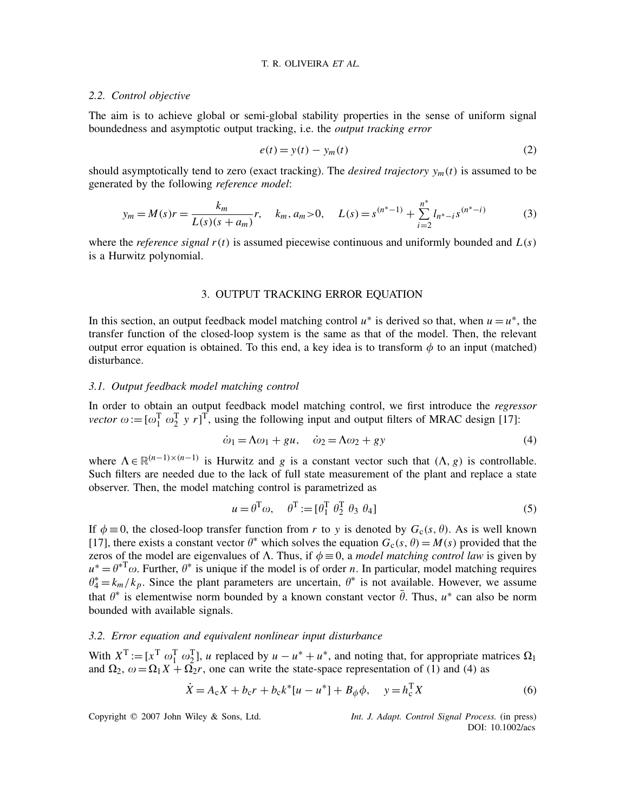#### *2.2. Control objective*

The aim is to achieve global or semi-global stability properties in the sense of uniform signal boundedness and asymptotic output tracking, i.e. the *output tracking error*

$$
e(t) = y(t) - y_m(t)
$$
 (2)

should asymptotically tend to zero (exact tracking). The *desired trajectory*  $y_m(t)$  is assumed to be generated by the following *reference model*:

$$
y_m = M(s)r = \frac{k_m}{L(s)(s+a_m)}r, \quad k_m, a_m > 0, \quad L(s) = s^{(n^*-1)} + \sum_{i=2}^{n^*} l_{n^*-i} s^{(n^*-i)} \tag{3}
$$

where the *reference signal r(t)* is assumed piecewise continuous and uniformly bounded and  $L(s)$ is a Hurwitz polynomial.

# 3. OUTPUT TRACKING ERROR EQUATION

In this section, an output feedback model matching control  $u^*$  is derived so that, when  $u = u^*$ , the transfer function of the closed-loop system is the same as that of the model. Then, the relevant output error equation is obtained. To this end, a key idea is to transform  $\phi$  to an input (matched) disturbance.

# *3.1. Output feedback model matching control*

In order to obtain an output feedback model matching control, we first introduce the *regressor vector*  $\omega := [\omega_1^T \ \omega_2^T \ y \ r]^T$ , using the following input and output filters of MRAC design [17]:

$$
\dot{\omega}_1 = \Lambda \omega_1 + gu, \quad \dot{\omega}_2 = \Lambda \omega_2 + gy \tag{4}
$$

where  $\Lambda \in \mathbb{R}^{(n-1)\times(n-1)}$  is Hurwitz and *g* is a constant vector such that  $(\Lambda, g)$  is controllable. Such filters are needed due to the lack of full state measurement of the plant and replace a state observer. Then, the model matching control is parametrized as

$$
u = \theta^{\mathrm{T}} \omega, \quad \theta^{\mathrm{T}} := [\theta_1^{\mathrm{T}} \ \theta_2^{\mathrm{T}} \ \theta_3 \ \theta_4]
$$
\n<sup>(5)</sup>

If  $\phi \equiv 0$ , the closed-loop transfer function from *r* to *y* is denoted by  $G_c(s, \theta)$ . As is well known [17], there exists a constant vector  $\theta^*$  which solves the equation  $G_c(s, \theta) = M(s)$  provided that the zeros of the model are eigenvalues of  $\Lambda$ . Thus, if  $\phi \equiv 0$ , a *model matching control law* is given by  $u^* = \theta^{*T}\omega$ . Further,  $\theta^*$  is unique if the model is of order *n*. In particular, model matching requires  $\theta_4^* = k_m/k_p$ . Since the plant parameters are uncertain,  $\theta^*$  is not available. However, we assume that  $\theta^*$  is elementwise norm bounded by a known constant vector  $\bar{\theta}$ . Thus,  $u^*$  can also be norm bounded with available signals.

# *3.2. Error equation and equivalent nonlinear input disturbance*

With  $X^T := [x^T \omega_1^T \omega_2^T]$ , *u* replaced by  $u - u^* + u^*$ , and noting that, for appropriate matrices  $\Omega_1$ and  $\Omega_2$ ,  $\omega = \Omega_1 X + \Omega_2 r$ , one can write the state-space representation of (1) and (4) as

$$
\dot{X} = A_c X + b_c r + b_c k^* [u - u^*] + B_\phi \phi, \quad y = h_c^{\mathrm{T}} X \tag{6}
$$

Copyright q 2007 John Wiley & Sons, Ltd. *Int. J. Adapt. Control Signal Process.* (in press)

DOI: 10.1002/acs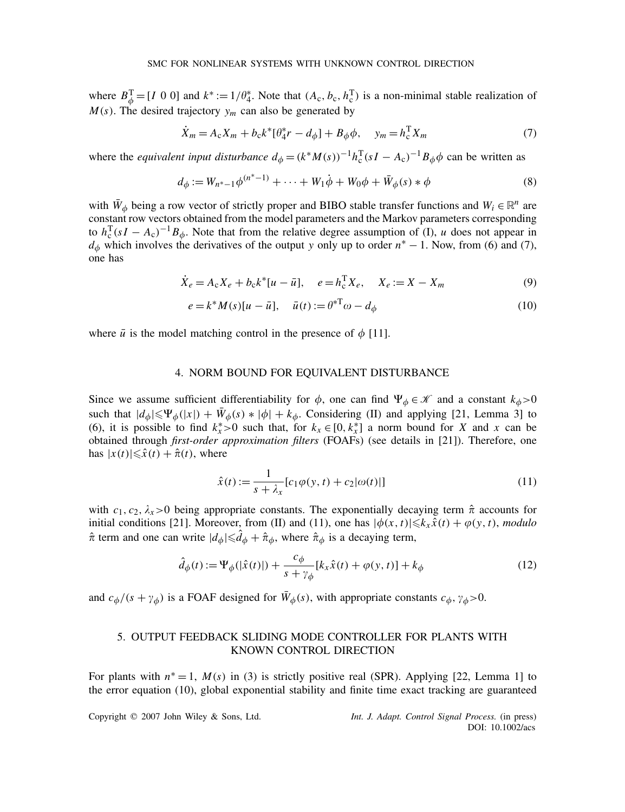where  $B_{\phi}^{T} = [I \ 0 \ 0]$  and  $k^* := 1/\theta_4^*$ . Note that  $(A_c, b_c, h_c^T)$  is a non-minimal stable realization of  $M(s)$ . The desired trajectory  $y_m$  can also be generated by

$$
\dot{X}_m = A_c X_m + b_c k^* [\theta_4^* r - d_\phi] + B_\phi \phi, \quad y_m = h_c^{\mathrm{T}} X_m \tag{7}
$$

where the *equivalent input disturbance*  $d_{\phi} = (k^*M(s))^{-1}h_c^T(sI - A_c)^{-1}B_{\phi}\phi$  can be written as

$$
d_{\phi} := W_{n^{*}-1} \phi^{(n^{*}-1)} + \dots + W_{1} \dot{\phi} + W_{0} \phi + \bar{W}_{\phi}(s) * \phi
$$
\n(8)

with  $\bar{W}_{\phi}$  being a row vector of strictly proper and BIBO stable transfer functions and  $W_i \in \mathbb{R}^n$  are constant row vectors obtained from the model parameters and the Markov parameters corresponding to  $h_c^T(sI - A_c)^{-1}B_\phi$ . Note that from the relative degree assumption of (I), *u* does not appear in  $d_{\phi}$  which involves the derivatives of the output *y* only up to order  $n<sup>*</sup> - 1$ . Now, from (6) and (7), one has

$$
\dot{X}_e = A_c X_e + b_c k^* [u - \bar{u}], \quad e = h_c^{\rm T} X_e, \quad X_e := X - X_m \tag{9}
$$

$$
e = k^* M(s)[u - \bar{u}], \quad \bar{u}(t) := \theta^{*T}\omega - d_\phi \tag{10}
$$

where  $\bar{u}$  is the model matching control in the presence of  $\phi$  [11].

# 4. NORM BOUND FOR EQUIVALENT DISTURBANCE

Since we assume sufficient differentiability for  $\phi$ , one can find  $\Psi_{\phi} \in \mathcal{K}$  and a constant  $k_{\phi} > 0$ such that  $|d_{\phi}| \leq \Psi_{\phi}(|x|) + \bar{W}_{\phi}(s) * |\phi| + k_{\phi}$ . Considering (II) and applying [21, Lemma 3] to (6), it is possible to find  $k_x^* > 0$  such that, for  $k_x \in [0, k_x^*]$  a norm bound for *X* and *x* can be obtained through *first-order approximation filters* (FOAFs) (see details in [21]). Therefore, one has  $|x(t)| \leq \hat{x}(t) + \hat{\pi}(t)$ , where

$$
\hat{x}(t) := \frac{1}{s + \lambda_x} [c_1 \varphi(y, t) + c_2 |\omega(t)|]
$$
\n(11)

with  $c_1, c_2, \lambda_x > 0$  being appropriate constants. The exponentially decaying term  $\hat{\pi}$  accounts for initial conditions [21]. Moreover, from (II) and (11), one has  $|\phi(x, t)| \leq k_x \hat{x}(t) + \phi(y, t)$ , *modulo*  $\hat{\pi}$  term and one can write  $|d_{\phi}| \leq d_{\phi} + \hat{\pi}_{\phi}$ , where  $\hat{\pi}_{\phi}$  is a decaying term,

$$
\hat{d}_{\phi}(t) := \Psi_{\phi}(|\hat{x}(t)|) + \frac{c_{\phi}}{s + \gamma_{\phi}}[k_{x}\hat{x}(t) + \varphi(y, t)] + k_{\phi}
$$
\n(12)

and  $c_{\phi}/(s + \gamma_{\phi})$  is a FOAF designed for  $\bar{W}_{\phi}(s)$ , with appropriate constants  $c_{\phi}, \gamma_{\phi} > 0$ .

# 5. OUTPUT FEEDBACK SLIDING MODE CONTROLLER FOR PLANTS WITH KNOWN CONTROL DIRECTION

For plants with  $n^* = 1$ ,  $M(s)$  in (3) is strictly positive real (SPR). Applying [22, Lemma 1] to the error equation (10), global exponential stability and finite time exact tracking are guaranteed

Copyright q 2007 John Wiley & Sons, Ltd. *Int. J. Adapt. Control Signal Process.* (in press)

DOI: 10.1002/acs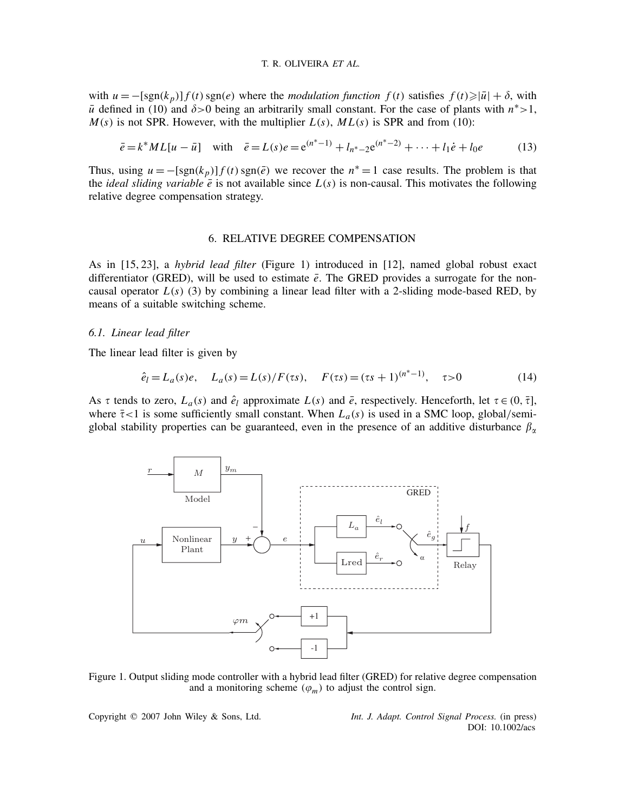with  $u = -[\text{sgn}(k_p)] f(t) \text{sgn}(e)$  where the *modulation function*  $f(t)$  satisfies  $f(t) \ge |\bar{u}| + \delta$ , with *u* defined in (10) and  $\delta > 0$  being an arbitrarily small constant. For the case of plants with  $n^* > 1$ ,  $M(s)$  is not SPR. However, with the multiplier  $L(s)$ ,  $ML(s)$  is SPR and from (10):

$$
\bar{e} = k^* M L[u - \bar{u}] \quad \text{with} \quad \bar{e} = L(s)e = e^{(n^*-1)} + l_{n^*-2}e^{(n^*-2)} + \dots + l_1\dot{e} + l_0e \tag{13}
$$

Thus, using  $u = -[\text{sgn}(k_p)] f(t) \text{ sgn}(\bar{e})$  we recover the  $n^* = 1$  case results. The problem is that the *ideal sliding variable*  $\bar{e}$  is not available since  $L(s)$  is non-causal. This motivates the following relative degree compensation strategy.

### 6. RELATIVE DEGREE COMPENSATION

As in [15, 23], a *hybrid lead filter* (Figure 1) introduced in [12], named global robust exact differentiator (GRED), will be used to estimate  $\bar{e}$ . The GRED provides a surrogate for the noncausal operator  $L(s)$  (3) by combining a linear lead filter with a 2-sliding mode-based RED, by means of a suitable switching scheme.

#### *6.1. Linear lead filter*

The linear lead filter is given by

$$
\hat{e}_l = L_a(s)e, \quad L_a(s) = L(s)/F(\tau s), \quad F(\tau s) = (\tau s + 1)^{(n^*-1)}, \quad \tau > 0 \tag{14}
$$

As  $\tau$  tends to zero,  $L_a(s)$  and  $\hat{e}_l$  approximate  $L(s)$  and  $\bar{e}$ , respectively. Henceforth, let  $\tau \in (0, \bar{\tau}],$ where  $\bar{\tau}$ <1 is some sufficiently small constant. When  $L_a(s)$  is used in a SMC loop, global/semiglobal stability properties can be guaranteed, even in the presence of an additive disturbance  $\beta_{\alpha}$ 



Figure 1. Output sliding mode controller with a hybrid lead filter (GRED) for relative degree compensation and a monitoring scheme  $(\varphi_m)$  to adjust the control sign.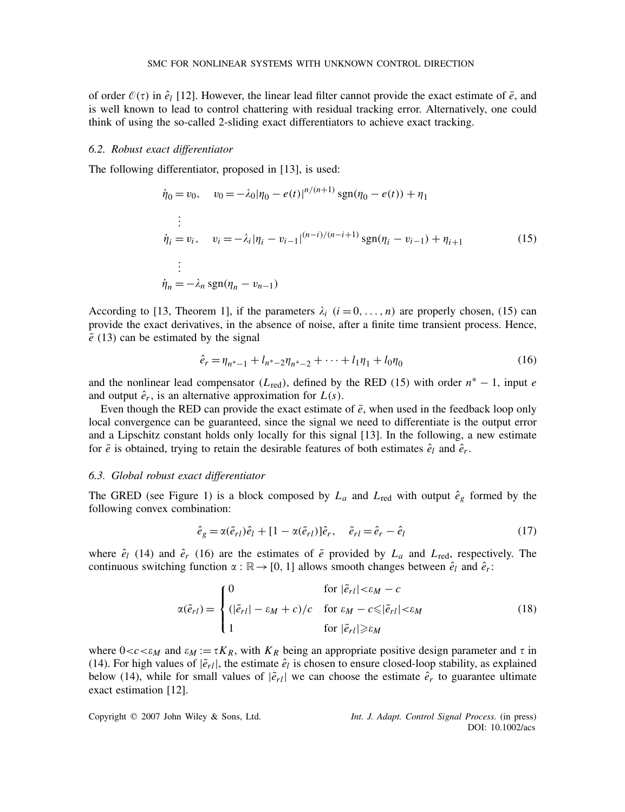of order  $\mathcal{O}(\tau)$  in  $\hat{e}_l$  [12]. However, the linear lead filter cannot provide the exact estimate of  $\vec{e}$ , and is well known to lead to control chattering with residual tracking error. Alternatively, one could think of using the so-called 2-sliding exact differentiators to achieve exact tracking.

# *6.2. Robust exact differentiator*

The following differentiator, proposed in [13], is used:

$$
\dot{\eta}_0 = v_0, \quad v_0 = -\lambda_0 |\eta_0 - e(t)|^{n/(n+1)} \operatorname{sgn}(\eta_0 - e(t)) + \eta_1
$$
\n
$$
\vdots
$$
\n
$$
\dot{\eta}_i = v_i, \quad v_i = -\lambda_i |\eta_i - v_{i-1}|^{(n-i)/(n-i+1)} \operatorname{sgn}(\eta_i - v_{i-1}) + \eta_{i+1}
$$
\n
$$
\vdots
$$
\n
$$
\dot{\eta}_n = -\lambda_n \operatorname{sgn}(\eta_n - v_{n-1})
$$
\n(15)

According to [13, Theorem 1], if the parameters  $\lambda_i$  ( $i = 0, \ldots, n$ ) are properly chosen, (15) can provide the exact derivatives, in the absence of noise, after a finite time transient process. Hence,  $\bar{e}$  (13) can be estimated by the signal

$$
\hat{e}_r = \eta_{n^*-1} + l_{n^*-2}\eta_{n^*-2} + \dots + l_1\eta_1 + l_0\eta_0
$$
\n(16)

and the nonlinear lead compensator ( $L_{\text{red}}$ ), defined by the RED (15) with order  $n<sup>*</sup> - 1$ , input *e* and output  $\hat{e}_r$ , is an alternative approximation for  $L(s)$ .

Even though the RED can provide the exact estimate of  $\bar{e}$ , when used in the feedback loop only local convergence can be guaranteed, since the signal we need to differentiate is the output error and a Lipschitz constant holds only locally for this signal [13]. In the following, a new estimate for  $\bar{e}$  is obtained, trying to retain the desirable features of both estimates  $\hat{e}_l$  and  $\hat{e}_r$ .

### *6.3. Global robust exact differentiator*

The GRED (see Figure 1) is a block composed by  $L_a$  and  $L_{\text{red}}$  with output  $\hat{e}_g$  formed by the following convex combination:

$$
\hat{e}_g = \alpha(\tilde{e}_{rl})\hat{e}_l + [1 - \alpha(\tilde{e}_{rl})]\hat{e}_r, \quad \tilde{e}_{rl} = \hat{e}_r - \hat{e}_l \tag{17}
$$

where  $\hat{e}_l$  (14) and  $\hat{e}_r$  (16) are the estimates of  $\bar{e}$  provided by  $L_a$  and  $L_{\text{red}}$ , respectively. The continuous switching function  $\alpha : \mathbb{R} \to [0, 1]$  allows smooth changes between  $\hat{e}_l$  and  $\hat{e}_r$ :

$$
\alpha(\tilde{e}_{rl}) = \begin{cases}\n0 & \text{for } |\tilde{e}_{rl}| < \varepsilon_M - c \\
(|\tilde{e}_{rl}| - \varepsilon_M + c)/c & \text{for } \varepsilon_M - c \le |\tilde{e}_{rl}| < \varepsilon_M \\
1 & \text{for } |\tilde{e}_{rl}| \ge \varepsilon_M\n\end{cases}
$$
\n(18)

where  $0 < c < \varepsilon_M$  and  $\varepsilon_M := \tau K_R$ , with  $K_R$  being an appropriate positive design parameter and  $\tau$  in (14). For high values of  $|\tilde{e}_r|$ , the estimate  $\hat{e}_l$  is chosen to ensure closed-loop stability, as explained below (14), while for small values of  $|\tilde{e}_r|$  we can choose the estimate  $\hat{e}_r$  to guarantee ultimate exact estimation [12].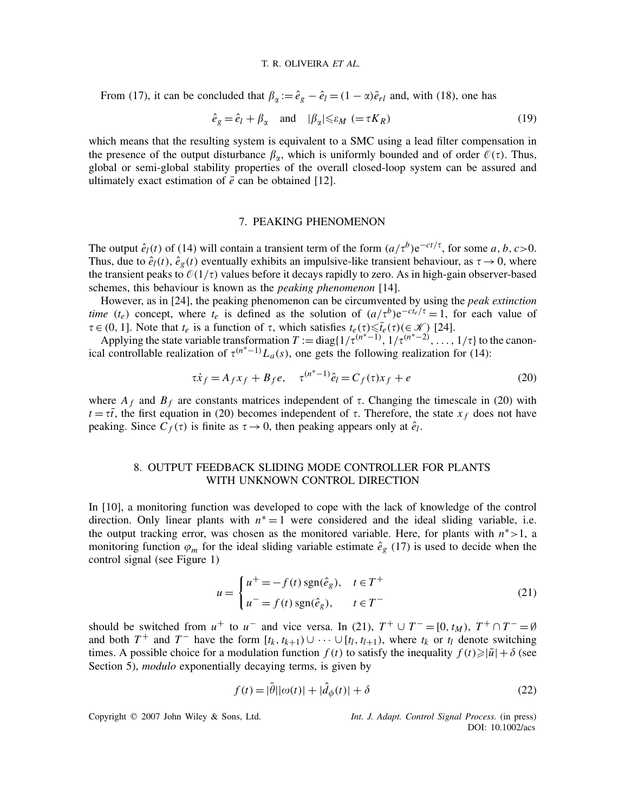From (17), it can be concluded that  $\beta_{\alpha} := \hat{e}_g - \hat{e}_l = (1 - \alpha)\tilde{e}_{rl}$  and, with (18), one has

$$
\hat{e}_g = \hat{e}_l + \beta_\alpha \quad \text{and} \quad |\beta_\alpha| \le \varepsilon_M \ (= \tau K_R) \tag{19}
$$

which means that the resulting system is equivalent to a SMC using a lead filter compensation in the presence of the output disturbance  $\beta_{\alpha}$ , which is uniformly bounded and of order  $\mathcal{O}(\tau)$ . Thus, global or semi-global stability properties of the overall closed-loop system can be assured and ultimately exact estimation of  $\bar{e}$  can be obtained [12].

## 7. PEAKING PHENOMENON

The output  $\hat{e}_l(t)$  of (14) will contain a transient term of the form  $(a/\tau^b)e^{-ct/\tau}$ , for some *a*, *b*, *c*>0. Thus, due to  $\hat{e}_l(t)$ ,  $\hat{e}_g(t)$  eventually exhibits an impulsive-like transient behaviour, as  $\tau \to 0$ , where the transient peaks to  $\mathcal{O}(1/\tau)$  values before it decays rapidly to zero. As in high-gain observer-based schemes, this behaviour is known as the *peaking phenomenon* [14].

However, as in [24], the peaking phenomenon can be circumvented by using the *peak extinction time* (*t<sub>e</sub>*) concept, where *t<sub>e</sub>* is defined as the solution of  $(a/\tau^b)e^{-ct_e/\tau} = 1$ , for each value of  $\tau \in (0, 1]$ . Note that  $t_e$  is a function of  $\tau$ , which satisfies  $t_e(\tau) \leq \bar{t}_e(\tau) (\in \mathcal{K})$  [24].

Applying the state variable transformation  $T := diag\{1/\tau^{(n^*-1)}, 1/\tau^{(n^*-2)}, \ldots, 1/\tau\}$  to the canonical controllable realization of  $\tau^{(n^*-1)}L_a(s)$ , one gets the following realization for (14):

$$
\tau \dot{x}_f = A_f x_f + B_f e, \quad \tau^{(n^*-1)} \hat{e}_l = C_f(\tau) x_f + e \tag{20}
$$

where  $A_f$  and  $B_f$  are constants matrices independent of  $\tau$ . Changing the timescale in (20) with  $t = \tau \bar{t}$ , the first equation in (20) becomes independent of  $\tau$ . Therefore, the state  $x_f$  does not have peaking. Since  $C_f(\tau)$  is finite as  $\tau \to 0$ , then peaking appears only at  $\hat{e}_l$ .

# 8. OUTPUT FEEDBACK SLIDING MODE CONTROLLER FOR PLANTS WITH UNKNOWN CONTROL DIRECTION

In [10], a monitoring function was developed to cope with the lack of knowledge of the control direction. Only linear plants with  $n<sup>*</sup> = 1$  were considered and the ideal sliding variable, i.e. the output tracking error, was chosen as the monitored variable. Here, for plants with  $n^*$  > 1, a monitoring function  $\varphi_m$  for the ideal sliding variable estimate  $\hat{e}_g$  (17) is used to decide when the control signal (see Figure 1)

$$
u = \begin{cases} u^+ = -f(t) \operatorname{sgn}(\hat{e}_g), & t \in T^+ \\ u^- = f(t) \operatorname{sgn}(\hat{e}_g), & t \in T^- \end{cases}
$$
(21)

should be switched from  $u^+$  to  $u^-$  and vice versa. In (21),  $T^+ \cup T^- = [0, t_M)$ ,  $T^+ \cap T^- = \emptyset$ and both  $T^+$  and  $T^-$  have the form  $[t_k, t_{k+1}) \cup \cdots \cup [t_l, t_{l+1})$ , where  $t_k$  or  $t_l$  denote switching times. A possible choice for a modulation function  $f(t)$  to satisfy the inequality  $f(t) \geq |\bar{u}| + \delta$  (see Section 5), *modulo* exponentially decaying terms, is given by

$$
f(t) = |\bar{\theta}||\omega(t)| + |\hat{d}_{\phi}(t)| + \delta
$$
\n(22)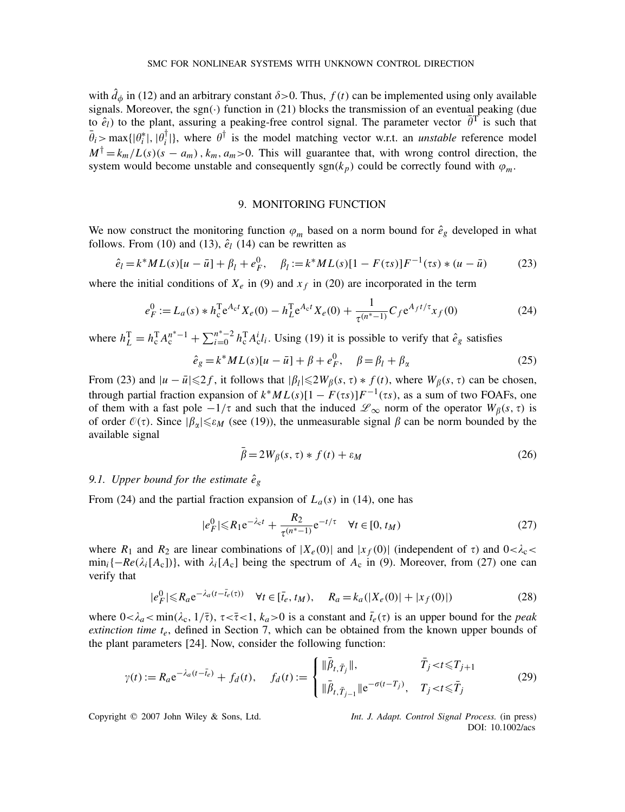with  $\hat{d}_{\phi}$  in (12) and an arbitrary constant  $\delta$ >0. Thus,  $f(t)$  can be implemented using only available signals. Moreover, the sgn $(\cdot)$  function in (21) blocks the transmission of an eventual peaking (due to  $\hat{e}_l$ ) to the plant, assuring a peaking-free control signal. The parameter vector  $\bar{\theta}^T$  is such that  $\bar{\theta}_i$  > max{ $|\theta_i^*|$ ,  $|\theta_i^{\dagger}|$ }, where  $\theta^{\dagger}$  is the model matching vector w.r.t. an *unstable* reference model  $M^{\dagger} = k_m/L(s)(s - a_m)$ ,  $k_m$ ,  $a_m > 0$ . This will guarantee that, with wrong control direction, the system would become unstable and consequently  $sgn(k_p)$  could be correctly found with  $\varphi_m$ .

# 9. MONITORING FUNCTION

We now construct the monitoring function  $\varphi_m$  based on a norm bound for  $\hat{e}_g$  developed in what follows. From (10) and (13),  $\hat{e}_l$  (14) can be rewritten as

$$
\hat{e}_l = k^* M L(s) [u - \bar{u}] + \beta_l + e_F^0, \quad \beta_l := k^* M L(s) [1 - F(\tau s)] F^{-1}(\tau s) * (u - \bar{u}) \tag{23}
$$

where the initial conditions of  $X_e$  in (9) and  $x_f$  in (20) are incorporated in the term

$$
e_F^0 := L_a(s) * h_c^{\mathrm{T}} e^{A_c t} X_e(0) - h_L^{\mathrm{T}} e^{A_c t} X_e(0) + \frac{1}{\tau^{(n^*-1)}} C_f e^{A_f t/\tau} X_f(0)
$$
(24)

where  $h_L^T = h_c^T A_c^{n^*-1} + \sum_{i=0}^{n^*-2} h_c^T A_c^i l_i$ . Using (19) it is possible to verify that  $\hat{e}_g$  satisfies

$$
\hat{e}_g = k^* M L(s) [u - \bar{u}] + \beta + e_F^0, \quad \beta = \beta_l + \beta_\alpha \tag{25}
$$

From (23) and  $|u - \bar{u}| \leq 2f$ , it follows that  $|\beta_l| \leq 2W_\beta(s, \tau) * f(t)$ , where  $W_\beta(s, \tau)$  can be chosen, through partial fraction expansion of  $k^*ML(s)[1 - F(ts)]F^{-1}(ts)$ , as a sum of two FOAFs, one of them with a fast pole  $-1/\tau$  and such that the induced  $\mathscr{L}_{\infty}$  norm of the operator  $W_{\beta}(s, \tau)$  is of order  $\mathcal{O}(\tau)$ . Since  $|\beta_{\alpha}| \leq \varepsilon_M$  (see (19)), the unmeasurable signal  $\beta$  can be norm bounded by the available signal

$$
\bar{\beta} = 2W_{\beta}(s,\tau) * f(t) + \varepsilon_M \tag{26}
$$

# *9.1. Upper bound for the estimate*  $\hat{e}_g$

From (24) and the partial fraction expansion of  $L_a(s)$  in (14), one has

$$
|e_F^0| \le R_1 e^{-\lambda_c t} + \frac{R_2}{\tau^{(n^*-1)}} e^{-t/\tau} \quad \forall t \in [0, t_M)
$$
 (27)

where  $R_1$  and  $R_2$  are linear combinations of  $|X_e(0)|$  and  $|x_f(0)|$  (independent of  $\tau$ ) and  $0 < \lambda_c$  $\min_i \{-Re(\lambda_i[A_c])\}$ , with  $\lambda_i[A_c]$  being the spectrum of  $A_c$  in (9). Moreover, from (27) one can verify that

$$
|e_F^0| \le R_a e^{-\lambda_a (t - \bar{t}_e(\tau))} \quad \forall t \in [\bar{t}_e, t_M), \quad R_a = k_a (|X_e(0)| + |x_f(0)|)
$$
 (28)

where  $0 < \lambda_a < \min(\lambda_c, 1/\overline{\tau})$ ,  $\tau < \overline{\tau} < 1$ ,  $k_a > 0$  is a constant and  $\overline{t}_e(\tau)$  is an upper bound for the *peak extinction time te*, defined in Section 7, which can be obtained from the known upper bounds of the plant parameters [24]. Now, consider the following function:

$$
\gamma(t) := R_a e^{-\lambda_a (t - \bar{t}_e)} + f_d(t), \quad f_d(t) := \begin{cases} \|\bar{\beta}_{t, \bar{T}_j}\|, & \bar{T}_j < t \le T_{j+1} \\ \|\bar{\beta}_{t, \bar{T}_{j-1}}\|e^{-\sigma(t - T_j)}, & T_j < t \le \bar{T}_j \end{cases}
$$
(29)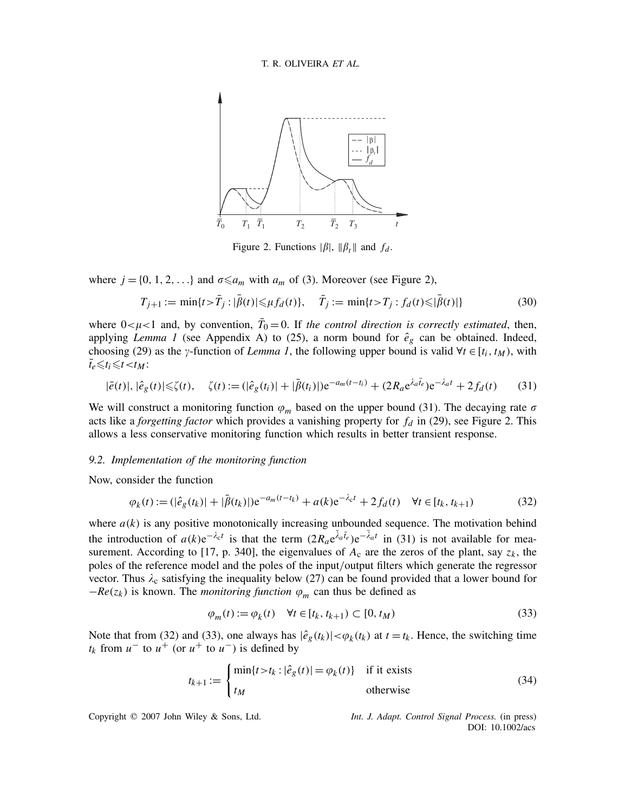

Figure 2. Functions  $|\beta|$ ,  $\|\beta_t\|$  and  $f_d$ .

where  $j = \{0, 1, 2, \ldots\}$  and  $\sigma \le a_m$  with  $a_m$  of (3). Moreover (see Figure 2),

$$
T_{j+1} := \min\{t > \bar{T}_j : |\bar{\beta}(t)| \le \mu f_d(t)\}, \quad \bar{T}_j := \min\{t > T_j : f_d(t) \le |\bar{\beta}(t)|\}
$$
(30)

where  $0 < \mu < 1$  and, by convention,  $\bar{T}_0 = 0$ . If *the control direction is correctly estimated*, then, applying *Lemma 1* (see Appendix A) to (25), a norm bound for  $\hat{e}_g$  can be obtained. Indeed, choosing (29) as the *y*-function of *Lemma 1*, the following upper bound is valid  $\forall t \in [t_i, t_M)$ , with  $\bar{t}_e \leq t_i \leq t < t_M$ :

$$
|\bar{e}(t)|, |\hat{e}_g(t)| \le \zeta(t), \quad \zeta(t) := (|\hat{e}_g(t_i)| + |\bar{\beta}(t_i)|) e^{-a_m(t-t_i)} + (2R_a e^{\lambda_a \bar{t}_e}) e^{-\lambda_a t} + 2f_d(t) \tag{31}
$$

We will construct a monitoring function  $\varphi_m$  based on the upper bound (31). The decaying rate  $\sigma$ acts like a *forgetting factor* which provides a vanishing property for *fd* in (29), see Figure 2. This allows a less conservative monitoring function which results in better transient response.

# *9.2. Implementation of the monitoring function*

Now, consider the function

$$
\varphi_k(t) := (|\hat{e}_g(t_k)| + |\bar{\beta}(t_k)|) e^{-a_m(t - t_k)} + a(k) e^{-\lambda_c t} + 2f_d(t) \quad \forall t \in [t_k, t_{k+1})
$$
\n(32)

where  $a(k)$  is any positive monotonically increasing unbounded sequence. The motivation behind the introduction of  $a(k)e^{-\lambda_c t}$  is that the term  $(2R_a e^{\bar{\lambda}_a t_e})e^{-\bar{\lambda}_a t}$  in (31) is not available for measurement. According to [17, p. 340], the eigenvalues of  $A_c$  are the zeros of the plant, say  $z_k$ , the poles of the reference model and the poles of the input/output filters which generate the regressor vector. Thus  $\lambda_c$  satisfying the inequality below (27) can be found provided that a lower bound for  $-Re(z_k)$  is known. The *monitoring function*  $\varphi_m$  can thus be defined as

$$
\varphi_m(t) := \varphi_k(t) \quad \forall t \in [t_k, t_{k+1}) \subset [0, t_M)
$$
\n
$$
(33)
$$

Note that from (32) and (33), one always has  $|\hat{e}_g(t_k)| < \varphi_k(t_k)$  at  $t = t_k$ . Hence, the switching time  $t_k$  from  $u^-$  to  $u^+$  (or  $u^+$  to  $u^-$ ) is defined by

$$
t_{k+1} := \begin{cases} \min\{t > t_k : |\hat{e}_g(t)| = \varphi_k(t)\} & \text{if it exists} \\ t_M & \text{otherwise} \end{cases} \tag{34}
$$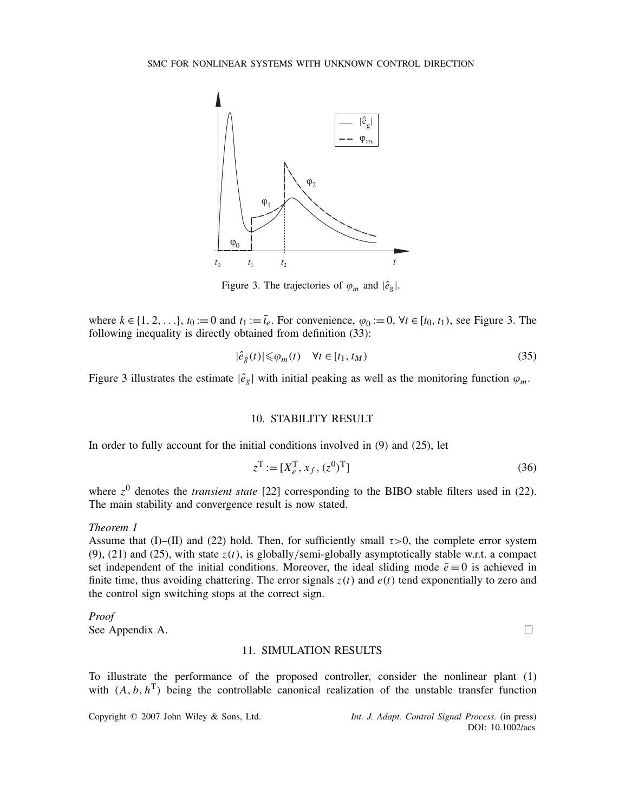

Figure 3. The trajectories of  $\varphi_m$  and  $|\hat{e}_g|$ .

where  $k \in \{1, 2, \ldots\}$ ,  $t_0 := 0$  and  $t_1 := \overline{t}_e$ . For convenience,  $\varphi_0 := 0$ ,  $\forall t \in [t_0, t_1)$ , see Figure 3. The following inequality is directly obtained from definition (33):

$$
|\hat{e}_g(t)| \leq \varphi_m(t) \quad \forall t \in [t_1, t_M)
$$
\n(35)

Figure 3 illustrates the estimate  $|\hat{e}_g|$  with initial peaking as well as the monitoring function  $\varphi_m$ .

# 10. STABILITY RESULT

In order to fully account for the initial conditions involved in (9) and (25), let

$$
z^{\mathrm{T}} := [X_e^{\mathrm{T}}, x_f, (z^0)^{\mathrm{T}}]
$$
\n(36)

where  $z^0$  denotes the *transient state* [22] corresponding to the BIBO stable filters used in (22). The main stability and convergence result is now stated.

# *Theorem 1*

Assume that (I)–(II) and (22) hold. Then, for sufficiently small  $\tau > 0$ , the complete error system (9), (21) and (25), with state  $z(t)$ , is globally/semi-globally asymptotically stable w.r.t. a compact set independent of the initial conditions. Moreover, the ideal sliding mode  $\bar{e} \equiv 0$  is achieved in finite time, thus avoiding chattering. The error signals  $z(t)$  and  $e(t)$  tend exponentially to zero and the control sign switching stops at the correct sign.

*Proof* See Appendix A.

# 11. SIMULATION RESULTS

To illustrate the performance of the proposed controller, consider the nonlinear plant (1) with  $(A, b, h^T)$  being the controllable canonical realization of the unstable transfer function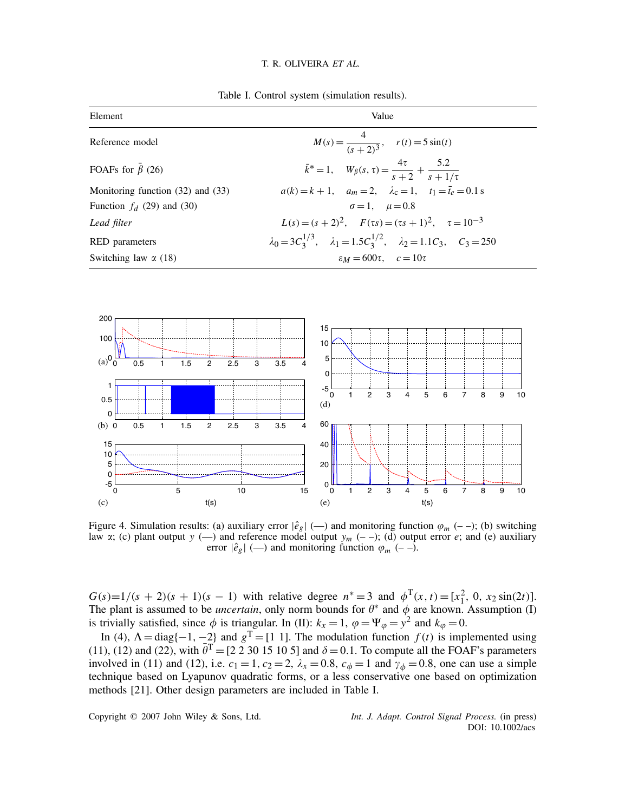| Element                               | Value                                                                                      |
|---------------------------------------|--------------------------------------------------------------------------------------------|
| Reference model                       | $M(s) = \frac{4}{(s+2)^3}$ , $r(t) = 5\sin(t)$                                             |
| FOAFs for $\bar{\beta}$ (26)          | $\bar{k}^* = 1$ , $W_\beta(s, \tau) = \frac{4\tau}{s+2} + \frac{5.2}{s+1/\tau}$            |
| Monitoring function $(32)$ and $(33)$ | $a(k) = k + 1$ , $a_m = 2$ , $\lambda_c = 1$ , $t_1 = \overline{t}_e = 0.1$ s              |
| Function $f_d$ (29) and (30)          | $\sigma = 1, \mu = 0.8$                                                                    |
| Lead filter                           | $L(s) = (s + 2)^2$ , $F(\tau s) = (\tau s + 1)^2$ , $\tau = 10^{-3}$                       |
| <b>RED</b> parameters                 | $\lambda_0 = 3C_3^{1/3}$ , $\lambda_1 = 1.5C_3^{1/2}$ , $\lambda_2 = 1.1C_3$ , $C_3 = 250$ |
| Switching law $\alpha$ (18)           | $\varepsilon_M = 600\tau$ , $c = 10\tau$                                                   |

Table I. Control system (simulation results).



Figure 4. Simulation results: (a) auxiliary error  $|\hat{e}_g|$  (-) and monitoring function  $\varphi_m$  (--); (b) switching law  $\alpha$ ; (c) plant output *y* (-) and reference model output *y<sub>m</sub>* (--); (d) output error *e*; and (e) auxiliary error  $|\hat{e}_g|$  (--) and monitoring function  $\varphi_m$  (--).

 $G(s)=1/(s + 2)(s + 1)(s - 1)$  with relative degree  $n^* = 3$  and  $\phi^T(x, t) = [x_1^2, 0, x_2 \sin(2t)].$ The plant is assumed to be *uncertain*, only norm bounds for  $\theta^*$  and  $\phi$  are known. Assumption (I) is trivially satisfied, since  $\phi$  is triangular. In (II):  $k_x = 1$ ,  $\phi = \Psi_{\phi} = y^2$  and  $k_{\phi} = 0$ .

In (4),  $\Lambda = \text{diag}\{-1, -2\}$  and  $g^T = [1 \ 1]$ . The modulation function  $f(t)$  is implemented using (11), (12) and (22), with  $\bar{\theta}^T = [2 \ 2 \ 30 \ 15 \ 10 \ 5]$  and  $\delta = 0.1$ . To compute all the FOAF's parameters involved in (11) and (12), i.e.  $c_1 = 1$ ,  $c_2 = 2$ ,  $\lambda_x = 0.8$ ,  $c_{\phi} = 1$  and  $\gamma_{\phi} = 0.8$ , one can use a simple technique based on Lyapunov quadratic forms, or a less conservative one based on optimization methods [21]. Other design parameters are included in Table I.

Copyright q 2007 John Wiley & Sons, Ltd. *Int. J. Adapt. Control Signal Process.* (in press)

DOI: 10.1002/acs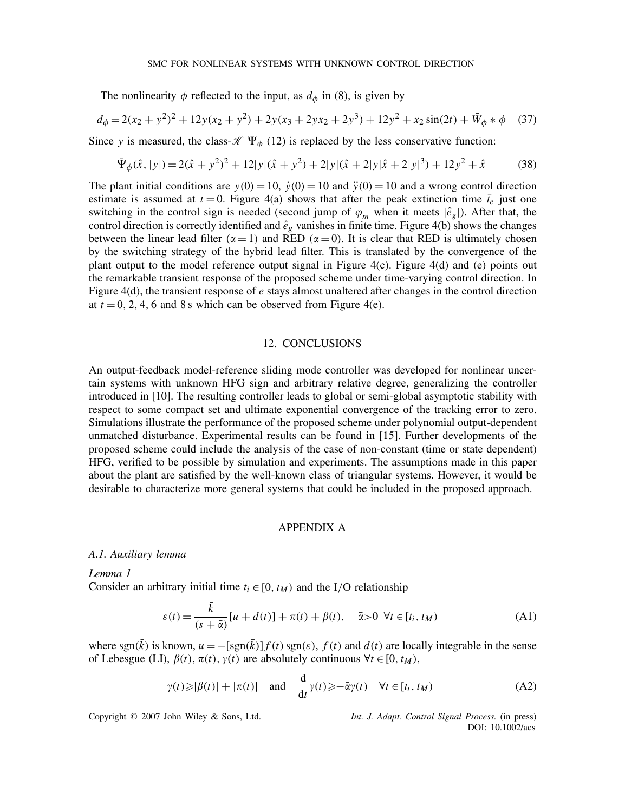The nonlinearity  $\phi$  reflected to the input, as  $d_{\phi}$  in (8), is given by

$$
d_{\phi} = 2(x_2 + y^2)^2 + 12y(x_2 + y^2) + 2y(x_3 + 2yx_2 + 2y^3) + 12y^2 + x_2\sin(2t) + \bar{W}_{\phi} * \phi
$$
 (37)

Since y is measured, the class- $\mathcal{K} \Psi_{\phi}$  (12) is replaced by the less conservative function:

$$
\bar{\Psi}_{\phi}(\hat{x},|y|) = 2(\hat{x} + y^2)^2 + 12|y|(\hat{x} + y^2) + 2|y|(\hat{x} + 2|y|\hat{x} + 2|y|^3) + 12y^2 + \hat{x}
$$
\n(38)

The plant initial conditions are  $y(0) = 10$ ,  $\dot{y}(0) = 10$  and  $\ddot{y}(0) = 10$  and a wrong control direction estimate is assumed at  $t = 0$ . Figure 4(a) shows that after the peak extinction time  $\bar{t}_e$  just one switching in the control sign is needed (second jump of  $\varphi_m$  when it meets  $|\hat{e}_g|$ ). After that, the control direction is correctly identified and  $\hat{e}_g$  vanishes in finite time. Figure 4(b) shows the changes between the linear lead filter ( $\alpha = 1$ ) and RED ( $\alpha = 0$ ). It is clear that RED is ultimately chosen by the switching strategy of the hybrid lead filter. This is translated by the convergence of the plant output to the model reference output signal in Figure  $4(c)$ . Figure  $4(d)$  and (e) points out the remarkable transient response of the proposed scheme under time-varying control direction. In Figure 4(d), the transient response of *e* stays almost unaltered after changes in the control direction at  $t = 0, 2, 4, 6$  and 8 s which can be observed from Figure 4(e).

# 12. CONCLUSIONS

An output-feedback model-reference sliding mode controller was developed for nonlinear uncertain systems with unknown HFG sign and arbitrary relative degree, generalizing the controller introduced in [10]. The resulting controller leads to global or semi-global asymptotic stability with respect to some compact set and ultimate exponential convergence of the tracking error to zero. Simulations illustrate the performance of the proposed scheme under polynomial output-dependent unmatched disturbance. Experimental results can be found in [15]. Further developments of the proposed scheme could include the analysis of the case of non-constant (time or state dependent) HFG, verified to be possible by simulation and experiments. The assumptions made in this paper about the plant are satisfied by the well-known class of triangular systems. However, it would be desirable to characterize more general systems that could be included in the proposed approach.

#### APPENDIX A

# *A.1. Auxiliary lemma*

*Lemma 1*

Consider an arbitrary initial time  $t_i \in [0, t_M)$  and the I/O relationship

$$
\varepsilon(t) = \frac{\bar{k}}{(s + \bar{\alpha})} [u + d(t)] + \pi(t) + \beta(t), \quad \bar{\alpha} > 0 \ \forall t \in [t_i, t_M)
$$
\n(A1)

where sgn( $\bar{k}$ ) is known,  $u = -[sgn(\bar{k})] f(t) sgn(\varepsilon)$ ,  $f(t)$  and  $d(t)$  are locally integrable in the sense of Lebesgue (LI),  $\beta(t)$ ,  $\pi(t)$ ,  $\gamma(t)$  are absolutely continuous  $\forall t \in [0, t_M)$ ,

$$
\gamma(t) \ge |\beta(t)| + |\pi(t)|
$$
 and  $\frac{d}{dt}\gamma(t) \ge -\bar{\alpha}\gamma(t)$   $\forall t \in [t_i, t_M)$  (A2)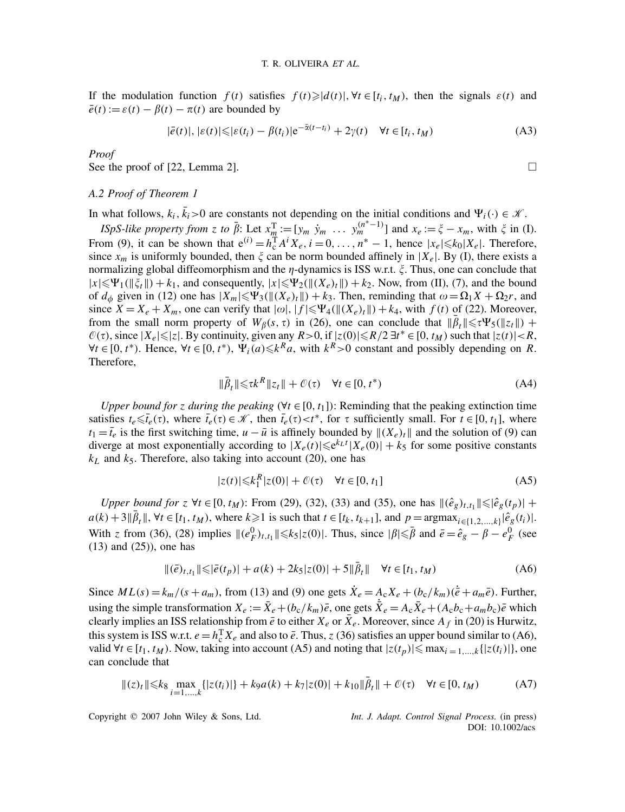If the modulation function  $f(t)$  satisfies  $f(t) \ge |d(t)|$ ,  $\forall t \in [t_i, t_M)$ , then the signals  $\varepsilon(t)$  and  $\bar{e}(t) := \varepsilon(t) - \beta(t) - \pi(t)$  are bounded by

$$
|\bar{e}(t)|, |\varepsilon(t)| \le |\varepsilon(t_i) - \beta(t_i)| e^{-\bar{\alpha}(t - t_i)} + 2\gamma(t) \quad \forall t \in [t_i, t_M)
$$
\n(A3)

*Proof*

See the proof of [22, Lemma 2].

# *A.2 Proof of Theorem 1*

In what follows,  $k_i$ ,  $\bar{k}_i > 0$  are constants not depending on the initial conditions and  $\Psi_i(\cdot) \in \mathcal{K}$ .

*ISpS-like property from z to*  $\bar{\beta}$ : Let  $x_m^T := [y_m \ y_m \dots y_m^{(n^*-1)}]$  and  $x_e := \xi - x_m$ , with  $\xi$  in (I). From (9), it can be shown that  $e^{(i)} = h_c^T A^i X_e$ ,  $i = 0, \ldots, n^* - 1$ , hence  $|x_e| \le k_0 |X_e|$ . Therefore, since  $x_m$  is uniformly bounded, then  $\xi$  can be norm bounded affinely in  $|X_e|$ . By (I), there exists a normalizing global diffeomorphism and the  $\eta$ -dynamics is ISS w.r.t.  $\xi$ . Thus, one can conclude that  $|x| \leq \Psi_1(\|\xi_t\|) + k_1$ , and consequently,  $|x| \leq \Psi_2(\|(X_e)_t\|) + k_2$ . Now, from (II), (7), and the bound of  $d_{\phi}$  given in (12) one has  $|X_m| \leq \Psi_3(\|(X_e)_t\|) + k_3$ . Then, reminding that  $\omega = \Omega_1 X + \Omega_2 r$ , and since  $X = X_e + X_m$ , one can verify that  $|\omega|$ ,  $|f| \leq \Psi_4(||(X_e)_t||) + k_4$ , with  $f(t)$  of (22). Moreover, from the small norm property of  $W_\beta(s, \tau)$  in (26), one can conclude that  $\|\overline{\beta}_t\| \leq \tau \Psi_5(\|z_t\|) +$  $\mathcal{O}(\tau)$ , since  $|X_e| \leq |z|$ . By continuity, given any  $R > 0$ , if  $|z(0)| \leq R/2$  ∃*t*<sup>\*</sup> ∈ [0, *t<sub>M</sub>*) such that  $|z(t)| < R$ ,  $\forall t \in [0, t^*)$ . Hence,  $\forall t \in [0, t^*)$ ,  $\Psi_i(a) \le k^R a$ , with  $k^R > 0$  constant and possibly depending on *R*. Therefore,

$$
\|\bar{\beta}_t\| \leq \tau k^R \|z_t\| + \mathcal{O}(\tau) \quad \forall t \in [0, t^*)
$$
\n(A4)

*Upper bound for z during the peaking* ( $\forall t \in [0, t_1]$ ): Reminding that the peaking extinction time satisfies  $t_e \le \bar{t}_e(\tau)$ , where  $\bar{t}_e(\tau) \in \mathcal{K}$ , then  $\bar{t}_e(\tau) < t^*$ , for  $\tau$  sufficiently small. For  $t \in [0, t_1]$ , where  $t_1 = \bar{t}_e$  is the first switching time, *u* −  $\bar{u}$  is affinely bounded by  $\|(X_e)_t\|$  and the solution of (9) can diverge at most exponentially according to  $|X_e(t)| \leq e^{k_L t} |X_e(0)| + k_5$  for some positive constants  $k<sub>L</sub>$  and  $k<sub>5</sub>$ . Therefore, also taking into account (20), one has

$$
|z(t)| \leq k_1^R |z(0)| + \mathcal{O}(\tau) \quad \forall t \in [0, t_1]
$$
 (A5)

*Upper bound for z*  $\forall t \in [0, t_M)$ : From (29), (32), (33) and (35), one has  $\|(\hat{e}_g)_{t,t_1}\| \leq |\hat{e}_g(t_p)| +$  $a(k) + 3\|\bar{\beta}_t\|$ ,  $\forall t \in [t_1, t_M)$ , where  $k \ge 1$  is such that  $t \in [t_k, t_{k+1}]$ , and  $p = \arg \max_{i \in \{1, 2, ..., k\}} |\hat{e}_g(t_i)|$ . With *z* from (36), (28) implies  $\|(e_F^0)_{t,t_1}\| \le k_5 |z(0)|$ . Thus, since  $|\beta| \le \bar{\beta}$  and  $\bar{e} = \hat{e}_g - \beta - e_F^0$  (see (13) and (25)), one has

$$
\|(\bar{e})_{t,t_1}\| \leq |\bar{e}(t_p)| + a(k) + 2k_5|z(0)| + 5\|\bar{\beta}_t\| \quad \forall t \in [t_1, t_M)
$$
\n(A6)

Since  $ML(s) = k_m/(s + a_m)$ , from (13) and (9) one gets  $\dot{X}_e = A_c X_e + (b_c/k_m)(\dot{e} + a_m \bar{e})$ . Further, using the simple transformation  $X_e := \overline{X}_e + (b_c/k_m)\overline{e}$ , one gets  $\overline{X}_e = A_c\overline{X}_e + (A_c b_c + a_m b_c)\overline{e}$  which clearly implies an ISS relationship from  $\bar{e}$  to either  $X_e$  or  $\bar{X}_e$ . Moreover, since  $A_f$  in (20) is Hurwitz, this system is ISS w.r.t.  $e = h_c^T X_e$  and also to  $\bar{e}$ . Thus,  $z$  (36) satisfies an upper bound similar to (A6), valid ∀*t* ∈  $[t_1, t_M)$ . Now, taking into account (A5) and noting that  $|z(t_p)| \leq \max_{i=1,\dots,k} \{|z(t_i)|\}$ , one can conclude that

$$
||(z)_t|| \le k_8 \max_{i=1,\dots,k} \{|z(t_i)|\} + k_9 a(k) + k_7 |z(0)| + k_{10} \|\bar{\beta}_t\| + \mathcal{O}(\tau) \quad \forall t \in [0, t_M)
$$
 (A7)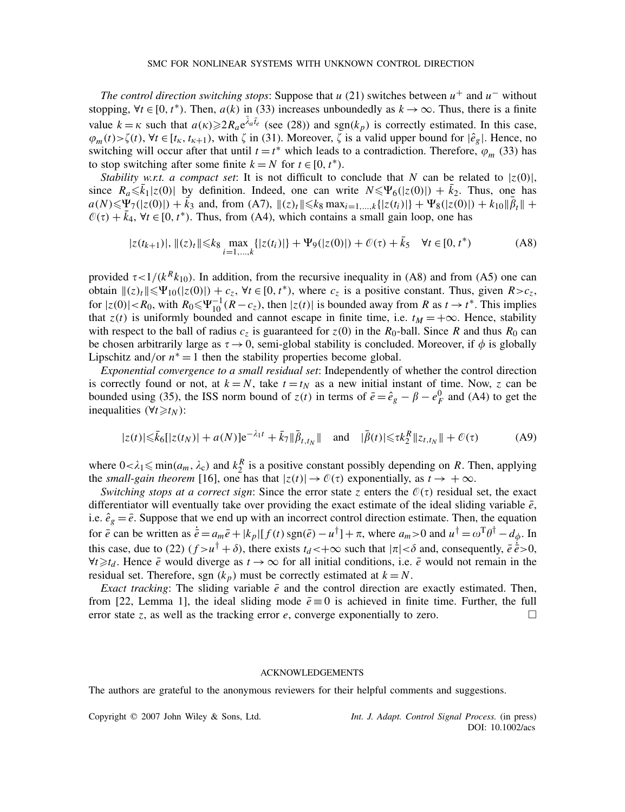*The control direction switching stops:* Suppose that *u* (21) switches between *u*<sup>+</sup> and *u*<sup>−</sup> without stopping,  $\forall t \in [0, t^*)$ . Then,  $a(k)$  in (33) increases unboundedly as  $k \to \infty$ . Thus, there is a finite value  $k = \kappa$  such that  $a(\kappa) \geq 2R_a e^{\lambda_a \bar{t}_e}$  (see (28)) and sgn( $k_p$ ) is correctly estimated. In this case,  $\varphi_m(t) > \zeta(t)$ ,  $\forall t \in [t_K, t_{K+1})$ , with  $\zeta$  in (31). Moreover,  $\zeta$  is a valid upper bound for  $|\hat{e}_g|$ . Hence, no switching will occur after that until  $t = t^*$  which leads to a contradiction. Therefore,  $\varphi_m$  (33) has to stop switching after some finite  $k = N$  for  $t \in [0, t^*).$ 

*Stability w.r.t. a compact set:* It is not difficult to conclude that *N* can be related to  $|z(0)|$ , since  $R_a \le \bar{k}_1 |z(0)|$  by definition. Indeed, one can write  $N \le \Psi_6(|z(0)|) + \bar{k}_2$ . Thus, one has  $a(N) \leq \Psi_7(|z(0)|) + \bar{k}_3$  and, from (A7),  $\|(z)_t\| \leq k_8 \max_{i=1,\dots,k} \{|z(t_i)|\} + \Psi_8(|z(0)|) + k_{10} \|\bar{\beta}_t\| +$  $\mathcal{O}(\tau) + \bar{k}_4$ ,  $\forall t \in [0, t^*)$ . Thus, from (A4), which contains a small gain loop, one has

$$
|z(t_{k+1})|, \|(z)_t\| \le k_8 \max_{i=1,\dots,k} \{|z(t_i)|\} + \Psi_9(|z(0)|) + \mathcal{O}(\tau) + \bar{k}_5 \quad \forall t \in [0, t^*)
$$
 (A8)

provided  $\tau < 1/(k^R k_{10})$ . In addition, from the recursive inequality in (A8) and from (A5) one can obtain  $\|(z)_t\| \leq \Psi_{10}(|z(0)|) + c_z$ ,  $\forall t \in [0, t^*)$ , where  $c_z$  is a positive constant. Thus, given  $R > c_z$ , for  $|z(0)| < R_0$ , with  $R_0 \le \Psi_{10}^{-1} (R - c_z)$ , then  $|z(t)|$  is bounded away from *R* as  $t \to t^*$ . This implies that  $z(t)$  is uniformly bounded and cannot escape in finite time, i.e.  $t_M = +\infty$ . Hence, stability with respect to the ball of radius  $c_z$  is guaranteed for  $z(0)$  in the  $R_0$ -ball. Since  $R$  and thus  $R_0$  can be chosen arbitrarily large as  $\tau \rightarrow 0$ , semi-global stability is concluded. Moreover, if  $\phi$  is globally Lipschitz and/or  $n<sup>*</sup> = 1$  then the stability properties become global.

*Exponential convergence to a small residual set*: Independently of whether the control direction is correctly found or not, at  $k = N$ , take  $t = t_N$  as a new initial instant of time. Now, *z* can be bounded using (35), the ISS norm bound of  $z(t)$  in terms of  $\bar{e} = \hat{e}_g - \beta - e_F^0$  and (A4) to get the inequalities  $(\forall t \geq t_N)$ :

$$
|z(t)| \le \bar{k}_6[|z(t_N)| + a(N)]e^{-\lambda_1 t} + \bar{k}_7 \|\bar{\beta}_{t,t_N}\| \quad \text{and} \quad |\bar{\beta}(t)| \le \tau k_2^R \|z_{t,t_N}\| + \mathcal{O}(\tau) \tag{A9}
$$

where  $0 < \lambda_1 \le \min(a_m, \lambda_c)$  and  $k_2^R$  is a positive constant possibly depending on *R*. Then, applying the *small-gain theorem* [16], one has that  $|z(t)| \to \mathcal{O}(\tau)$  exponentially, as  $t \to +\infty$ .

*Switching stops at a correct sign:* Since the error state *z* enters the  $\mathcal{O}(\tau)$  residual set, the exact differentiator will eventually take over providing the exact estimate of the ideal sliding variable  $\bar{e}$ , i.e.  $\hat{e}_g = \bar{e}$ . Suppose that we end up with an incorrect control direction estimate. Then, the equation for  $\bar{e}$  can be written as  $\dot{\bar{e}} = a_m \bar{e} + |k_p| [f(t) \text{ sgn}(\bar{e}) - u^\dagger] + \pi$ , where  $a_m > 0$  and  $u^\dagger = \omega^T \theta^\dagger - d_\phi$ . In this case, due to (22)  $(f > u^{\dagger} + \delta)$ , there exists  $t_d < +\infty$  such that  $|\pi| < \delta$  and, consequently,  $\bar{e} \neq 0$ ,  $\forall t \geq t_d$ . Hence  $\bar{e}$  would diverge as  $t \to \infty$  for all initial conditions, i.e.  $\bar{e}$  would not remain in the residual set. Therefore, sgn  $(k_p)$  must be correctly estimated at  $k = N$ .

*Exact tracking*: The sliding variable  $\bar{e}$  and the control direction are exactly estimated. Then, from [22, Lemma 1], the ideal sliding mode  $\bar{e} \equiv 0$  is achieved in finite time. Further, the full error state *z*, as well as the tracking error *e*, converge exponentially to zero.

#### ACKNOWLEDGEMENTS

The authors are grateful to the anonymous reviewers for their helpful comments and suggestions.